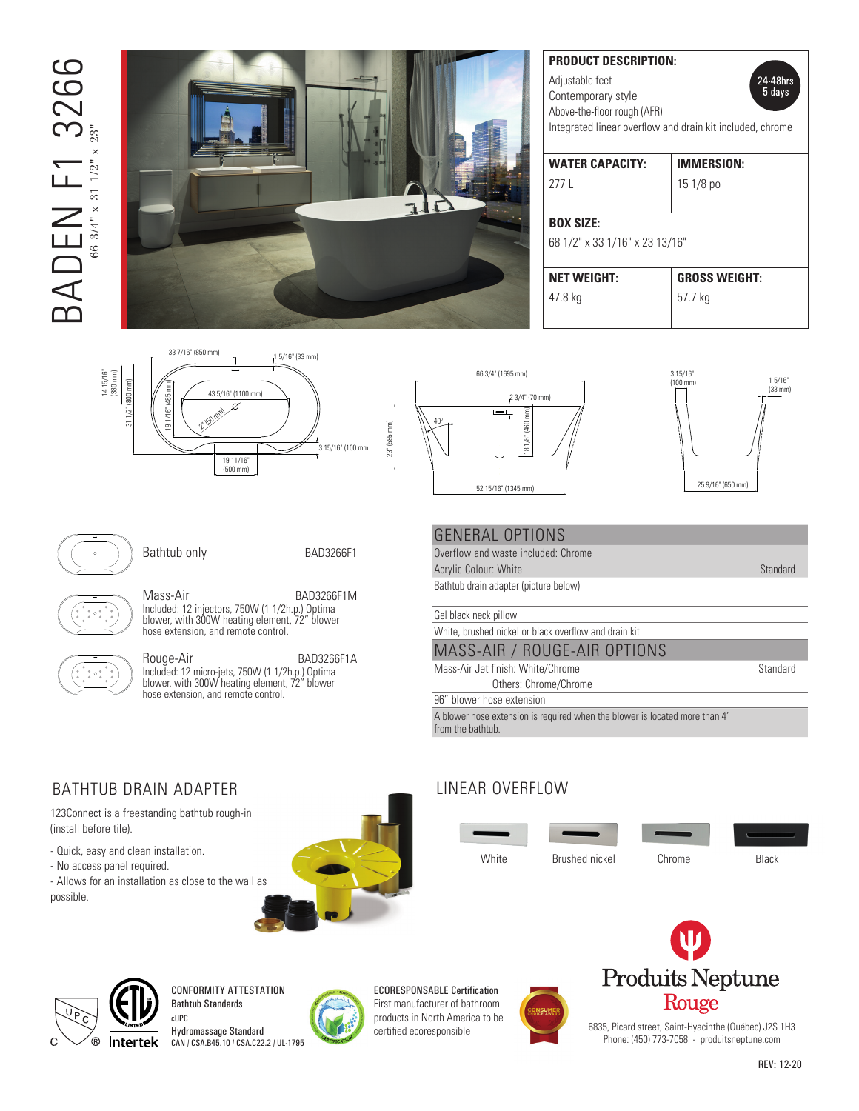# **BADEN F1 3266** BADEN F1 3266 66 3/4" x 31 1/2" x 23"



|  | <b>PRODUCT DESCRIPTION:</b>                                 |                      |
|--|-------------------------------------------------------------|----------------------|
|  | Adjustable feet<br>24 48hrs<br>5 days<br>Contemporary style |                      |
|  |                                                             |                      |
|  | Above-the-floor rough (AFR)                                 |                      |
|  | Integrated linear overflow and drain kit included, chrome   |                      |
|  |                                                             |                      |
|  | <b>WATER CAPACITY:</b>                                      | <b>IMMERSION:</b>    |
|  | 2771                                                        | $151/8$ po           |
|  |                                                             |                      |
|  | <b>BOX SIZE:</b>                                            |                      |
|  | 68 1/2" x 33 1/16" x 23 13/16"                              |                      |
|  |                                                             |                      |
|  | <b>NET WEIGHT:</b>                                          | <b>GROSS WEIGHT:</b> |
|  | 47.8 kg                                                     | 57.7 ka              |
|  |                                                             |                      |

3 15/16" (100 mm)

 $35/16$  15/16" (100  $\mu$ 





Bathtub only BAD3266F1

Mass-Air BAD3266F1M Included: 12 injectors, 750W (1 1/2h.p.) Optima Included: 12 injectors, 750W (1 1/2h.p.) Optima<br>blower, with 300W heating element, 72″ blower ( hose extension, and remote control.



tı

Rouge-Air BAD3266F1A Included: 12 micro-jets, 750W (1 1/2h.p.) Optima  $\left\{\left\langle \right\rangle \right\}$  blower, with 300W heating element, 72" blower hose extension, and remote control.

### GENERAL OPTIONS

Overflow and waste included: Chrome **Please refer to the installation guide beginning the installation guide beginning the installation guide before beginning the installation guide beginning the installation guide beginning the installation guide beginning** 

Bathtub drain adapter (picture below)

Gel black neck pillow

White, brushed nickel or black overflow and drain kit

### MASS-AIR / ROUGE-AIR OPTIONS

Mass-Air Jet finish: White/Chrome Standard Others: Chrome/Chrome

96" blower hose extension

A blower hose extension is required when the blower is located more than 4' from the bathtub.

# BATHTUB DRAIN ADAPTER

123Connect is a freestanding bathtub rough-in (install before tile).

- Quick, easy and clean installation.
- No access panel required.

- Allows for an installation as close to the wall as possible.



# LINEAR OVERFLOW





CONFORMITY ATTESTATION Bathtub Standards cUPC

Hydromassage Standard CAN / CSA.B45.10 / CSA.C22.2 / UL-1795



ECORESPONSABLE Certification First manufacturer of bathroom products in North America to be





6835, Picard street, Saint-Hyacinthe (Québec) J2S 1H3 Phone: (450) 773-7058 - produitsneptune.com